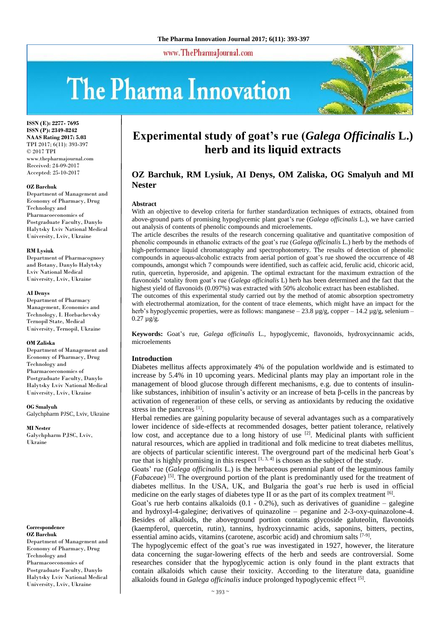www.ThePharmaJournal.com

# The Pharma Innovation



**ISSN (E): 2277- 7695 ISSN (P): 2349-8242 NAAS Rating 2017: 5.03** TPI 2017; 6(11): 393-397 © 2017 TPI www.thepharmajournal.com Received: 24-09-2017 Accepted: 25-10-2017

### **OZ Barchuk**

Department of Management and Economy of Pharmacy, Drug Technology and Pharmacoeconomics of Postgraduate Faculty, Danylo Halytsky Lviv National Medical University, Lviv, Ukraine

#### **RM Lysiuk**

Department of Pharmacognosy and Botany, Danylo Halytsky Lviv National Medical University, Lviv, Ukraine

#### **AI Denys**

Department of Pharmacy Management, Economics and Technology, I. Horbachevsky Ternopil State, Medical University, Ternopil, Ukraine

#### **OM Zaliska**

Department of Management and Economy of Pharmacy, Drug Technology and Pharmacoeconomics of Postgraduate Faculty, Danylo Halytsky Lviv National Medical University, Lviv, Ukraine

**OG Smalyuh** Galychpharm PJSC, Lviv, Ukraine

**MI Nester** Galychpharm PJSC, Lviv, Ukraine

### **Correspondence OZ Barchuk** Department of Management and Economy of Pharmacy, Drug Technology and Pharmacoeconomics of Postgraduate Faculty, Danylo Halytsky Lviv National Medical University, Lviv, Ukraine

## **Experimental study of goat's rue (***Galega Officinalis* **L.) herb and its liquid extracts**

## **OZ Barchuk, RM Lysiuk, AI Denys, OM Zaliska, OG Smalyuh and MI Nester**

## **Abstract**

With an objective to develop criteria for further standardization techniques of extracts, obtained from above-ground parts of promising hypoglycemic plant goat's rue (*Galega officinalis* L.), we have carried out analysis of contents of phenolic compounds and microelements.

The article describes the results of the research concerning qualitative and quantitative composition of phenolic compounds in ethanolic extracts of the goat's rue (*Galega officinalis* L.) herb by the methods of high-performance liquid chromatography and spectrophotometry. The results of detection of phenolic compounds in aqueous-alcoholic extracts from aerial portion of goat's rue showed the occurrence of 48 compounds, amongst which 7 compounds were identified, such as caffeic acid, ferulic acid, chicoric acid, rutin, quercetin, hyperoside, and apigenin. The optimal extractant for the maximum extraction of the flavonoids' totality from goat's rue (*Galega officinalis* L) herb has been determined and the fact that the highest yield of flavonoids (0.097%) was extracted with 50% alcoholic extract has been established.

The outcomes of this experimental study carried out by the method of atomic absorption spectrometry with electrothermal atomization, for the content of trace elements, which might have an impact for the herb's hypoglycemic properties, were as follows: manganese  $-23.8 \mu g/g$ , copper  $-14.2 \mu g/g$ , selenium – 0.27 µg/g.

**Keywords:** Goat's rue, *Galega officinalis* L., hypoglycemic, flavonoids, hydroxycinnamic acids, microelements

## **Introduction**

Diabetes mellitus affects approximately 4% of the population worldwide and is estimated to increase by 5.4% in 10 upcoming years. Medicinal plants may play an important role in the management of blood glucose through different mechanisms, e.g. due to contents of insulinlike substances, inhibition of insulin's activity or an increase of beta β-cells in the pancreas by activation of regeneration of these cells, or serving as antioxidants by reducing the oxidative stress in the pancreas [1].

Herbal remedies are gaining popularity because of several advantages such as a comparatively lower incidence of side-effects at recommended dosages, better patient tolerance, relatively low cost, and acceptance due to a long history of use  $[2]$ . Medicinal plants with sufficient natural resources, which are applied in traditional and folk medicine to treat diabetes mellitus, are objects of particular scientific interest. The overground part of the medicinal herb Goat's rue that is highly promising in this respect  $[1, 3, 4]$  is chosen as the subject of the study.

Goats' rue (*Galega officinalis* L.) is the herbaceous perennial plant of the leguminous family (*Fabaceae*) [5] . The overground portion of the plant is predominantly used for the treatment of diabetes mellitus. In the USA, UK, and Bulgaria the goat's rue herb is used in official medicine on the early stages of diabetes type II or as the part of its complex treatment [6].

Goat's rue herb contains alkaloids  $(0.1 - 0.2\%)$ , such as derivatives of guanidine – galegine and hydroxyl-4-galegine; derivatives of quinazoline – peganine and 2-3-oxy-quinazolone-4. Besides of alkaloids, the aboveground portion contains glycoside galuteolin, flavonoids (kaempferol, quercetin, rutin), tannins, hydroxycinnamic acids, saponins, bitters, pectins, essential amino acids, vitamins (carotene, ascorbic acid) and chromium salts [7-9].

The hypoglycemic effect of the goat's rue was investigated in 1927, however, the literature data concerning the sugar-lowering effects of the herb and seeds are controversial. Some researches consider that the hypoglycemic action is only found in the plant extracts that contain alkaloids which cause their toxicity. According to the literature data, guanidine alkaloids found in *Galega officinalis* induce prolonged hypoglycemic effect [5].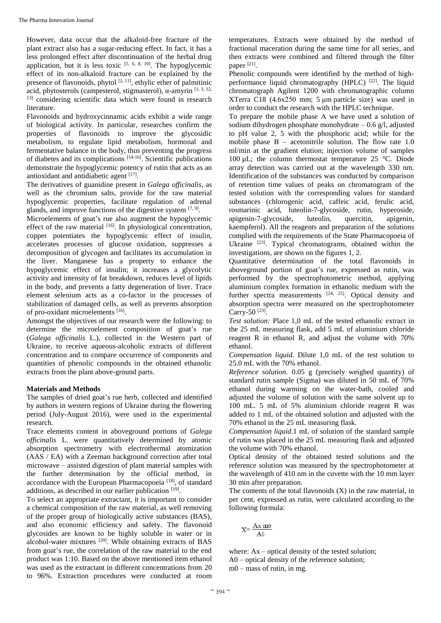However, data occur that the alkaloid-free fracture of the plant extract also has a sugar-reducing effect. In fact, it has a less prolonged effect after discontinuation of the herbal drug application, but it is less toxic  $[5, 6, 8, 10]$ . The hypoglycemic effect of its non-alkaloid fracture can be explained by the presence of flavonoids, phytol  $[2, 11]$ , ethylic ether of palmitinic acid, phytosterols (campesterol, stigmasterol),  $\alpha$ -amyrin [1, 3, 12, <sup>13]</sup> considering scientific data which were found in research literature.

Flavonoids and hydroxycinnamic acids exhibit a wide range of biological activity. In particular, researches confirm the properties of flavonoids to improve the glycosidic metabolism, to regulate lipid metabolism, hormonal and fermentative balance in the body, thus preventing the progress of diabetes and its complications [14-16]. Scientific publications demonstrate the hypoglycemic potency of rutin that acts as an antioxidant and antidiabetic agent [17].

The derivatives of guanidine present in *Galega officinalis*, as well as the chromium salts, provide for the raw material hypoglycemic properties, facilitate regulation of adrenal glands, and improve functions of the digestive system  $[7, 9]$ .

Microelements of goat's rue also augment the hypoglycemic effect of the raw material  $[16]$ . In physiological concentration, copper potentiates the hypoglycemic effect of insulin, accelerates processes of glucose oxidation, suppresses a decomposition of glycogen and facilitates its accumulation in the liver. Manganese has a property to enhance the hypoglycemic effect of insulin; it increases a glycolytic activity and intensity of fat breakdown, reduces level of lipids in the body, and prevents a fatty degeneration of liver. Trace element selenium acts as a co-factor in the processes of stabilization of damaged cells, as well as prevents absorption of pro-oxidant microelements [16].

Amongst the objectives of our research were the following: to determine the microelement composition of goat's rue (*Galega officinalis* L.), collected in the Western part of Ukraine, to receive aqueous-alcoholic extracts of different concentration and to compare occurrence of components and quantities of phenolic compounds in the obtained ethanolic extracts from the plant above-ground parts.

## **Materials and Methods**

The samples of dried goat's rue herb, collected and identified by authors in western regions of Ukraine during the flowering period (July-August 2016), were used in the experimental research.

Trace elements content in aboveground portions of *Galega officinalis* L. were quantitatively determined by atomic absorption spectrometry with electrothermal atomization (AAS / EA) with a Zeeman background correction after total microwave – assisted digestion of plant material samples with the further determination by the official method, in accordance with the European Pharmacopoeia<sup>[18]</sup>, of standard additions, as described in our earlier publication [19].

To select an appropriate extractant, it is important to consider a chemical composition of the raw material, as well removing of the proper group of biologically active substances (BAS), and also economic efficiency and safety. The flavonoid glycosides are known to be highly soluble in water or in alcohol-water mixtures [20]. While obtaining extracts of BAS from goat's rue, the correlation of the raw material to the end product was 1:10. Based on the above mentioned item ethanol was used as the extractant in different concentrations from 20 to 96%. Extraction procedures were conducted at room

temperatures. Extracts were obtained by the method of fractional maceration during the same time for all series, and then extracts were combined and filtered through the filter paper<sup>[21]</sup>.

Phenolic compounds were identified by the method of highperformance liquid chromatography (HPLC)<sup>[22]</sup>. The liquid chromatograph Agilent 1200 with chromatographic column XTerra C18 (4.6х250 mm; 5 μm particle size) was used in order to conduct the research with the HPLC technique.

To prepare the mobile phase А we have used a solution of sodium dihydrogen phosphate monohydrate  $-0.6$  g/l, adjusted to pH value 2, 5 with the phosphoric acid; while for the mobile phase  $B$  – acetonitrile solution. The flow rate 1.0 ml/min at the gradient elution; injection volume of samples 100 µL; the column thermostat temperature 25 °C. Diode array detection was carried out at the wavelength 330 nm. Identification of the substances was conducted by comparison of retention time values of peaks on chromatogram of the tested solution with the corresponding values for standard substances (chlorogenic acid, caffeic acid, ferulic acid, rosmarinic acid, luteolin-7-glycoside, rutin, hyperoside, apigenin-7-glycoside, luteolin, quercitin, apigenin, kaempferol). All the reagents and preparation of the solutions complied with the requirements of the State Pharmacopoeia of Ukraine <sup>[23]</sup>. Typical chromatograms, obtained within the investigations, are shown on the figures 1, 2.

Quantitative determination of the total flavonoids in aboveground portion of goat's rue, expressed as rutin, was performed by the spectrophotometric method, applying aluminium complex formation in ethanolic medium with the further spectra measurements  $[24, 25]$ . Optical density and absorption spectra were measured on the spectrophotometer Carry-50<sup>[23]</sup>.

*Test solution:* Place 1,0 mL of the tested ethanolic extract in the 25 mL measuring flask, add 5 mL of aluminium chloride reagent R in ethanol R, and adjust the volume with 70% ethanol.

*Compensation liquid.* Dilute 1,0 mL of the test solution to 25.0 mL with the 70% ethanol.

*Reference solution.* 0.05 g (precisely weighed quantity) of standard rutin sample (Sigma) was diluted in 50 mL of 70% ethanol during warming on the water-bath, cooled and adjusted the volume of solution with the same solvent up to 100 mL. 5 mL of 5% aluminium chloride reagent R was added to 1 mL of the obtained solution and adjusted with the 70% ethanol in the 25 mL measuring flask.

*Compensation liquid.*1 mL of solution of the standard sample of rutin was placed in the 25 mL measuring flask and adjusted the volume with 70% ethanol.

Optical density of the obtained tested solutions and the reference solution was measured by the spectrophotometer at the wavelength of 410 nm in the cuvette with the 10 mm layer 30 min after preparation.

The contents of the total flavonoids  $(X)$  in the raw material, in per cent, expressed as rutin, were calculated according to the following formula:

$$
X = \frac{Ax'm0}{A0}
$$

where:  $Ax - optical density of the tested solution;$ A0 – optical density of the reference solution;

m0 – mass of rutin, in mg.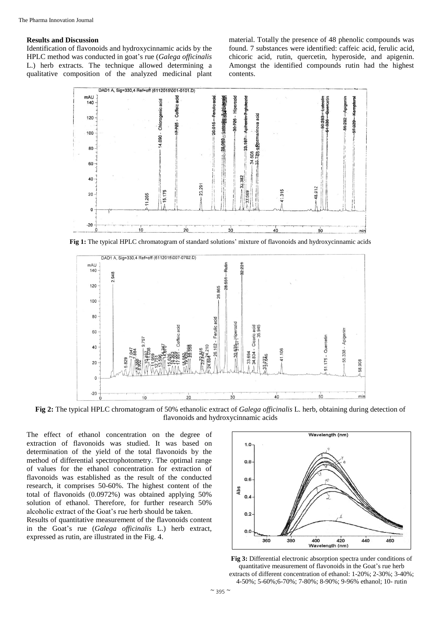## **Results and Discussion**

Identification of flavonoids and hydroxycinnamic acids by the HPLC method was conducted in goat's rue (*Galega officinalis* L.) herb extracts. The technique allowed determining a qualitative composition of the analyzed medicinal plant

material. Totally the presence of 48 phenolic compounds was found. 7 substances were identified: caffeic acid, ferulic acid, chicoric acid, rutin, quercetin, hyperoside, and apigenin. Amongst the identified compounds rutin had the highest contents.



**Fig 1:** The typical HPLC chromatogram of standard solutions' mixture of flavonoids and hydroxycinnamic acids



**Fig 2:** The typical HPLC chromatogram of 50% ethanolic extract of *Galega officinalis* L. herb, obtaining during detection of flavonoids and hydroxycinnamic acids

The effect of ethanol concentration on the degree of extraction of flavonoids was studied. It was based on determination of the yield of the total flavonoids by the method of differential spectrophotometry. The optimal range of values for the ethanol concentration for extraction of flavonoids was established as the result of the conducted research, it comprises 50-60%. The highest content of the total of flavonoids (0.0972%) was obtained applying 50% solution of ethanol. Therefore, for further research 50% alcoholic extract of the Goat's rue herb should be taken.

Results of quantitative measurement of the flavonoids content in the Goat's rue (*Galega officinalis* L.) herb extract, expressed as rutin, are illustrated in the Fig. 4.



**Fig 3:** Differential electronic absorption spectra under conditions of quantitative measurement of flavonoids in the Goat's rue herb extracts of different concentration of ethanol: 1-20%; 2-30%; 3-40%; 4-50%; 5-60%;6-70%; 7-80%; 8-90%; 9-96% ethanol; 10- rutin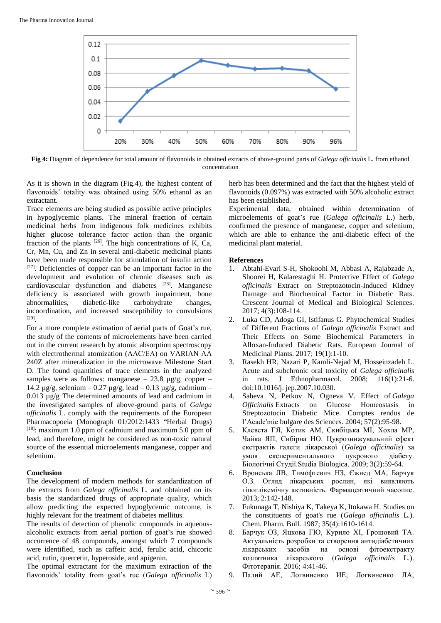

**Fig 4:** Diagram of dependence for total amount of flavonoids in obtained extracts of above-ground parts of *Galega officinalis* L. from ethanol concentration

As it is shown in the diagram (Fig.4), the highest content of flavonoids' totality was obtained using 50% ethanol as an extractant.

Trace elements are being studied as possible active principles in hypoglycemic plants. The mineral fra**c**tion of certain medicinal herbs from indigenous folk medicines exhibits higher glucose tolerance factor action than the organic fraction of the plants  $[26]$ . The high concentrations of K, Ca, Cr, Mn, Cu, and Zn in several anti-diabetic medicinal plants have been made responsible for stimulation of insulin action [27]. Deficiencies of copper can be an important factor in the development and evolution of chronic diseases such as cardiovascular dysfunction and diabetes [28]. Manganese deficiency is associated with growth impairment, bone abnormalities, diabetic-like carbohydrate changes, incoordination, and increased susceptibility to convulsions [29] .

For a more complete estimation of aerial parts of Goat's rue, the study of the contents of microelements have been carried out in the current research by atomic absorption spectroscopy with electrothermal atomization (ААС/ЕА) on VARIAN AA 240Z after mineralization in the microwave Milestone Start D. The found quantities of trace elements in the analyzed samples were as follows: manganese –  $23.8 \mu$ g/g, copper – 14.2  $\mu$ g/g, selenium – 0.27  $\mu$ g/g, lead – 0.13  $\mu$ g/g, cadmium – 0.013 µg/g. The determined amounts of lead and cadmium in the investigated samples of above-ground parts of *Galega officinalis* L. comply with the requirements of the European Pharmacopoeia (Monograph 01/2012:1433 "Herbal Drugs) [18]: maximum 1.0 ppm of cadmium and maximum 5.0 ppm of lead, and therefore, might be considered as non-toxic natural source of the essential microelements manganese, copper and selenium.

## **Conclusion**

The development of modern methods for standardization of the extracts from *Galega officinalis* L. and obtained on its basis the standardized drugs of appropriate quality, which allow predicting the expected hypoglycemic outcome, is highly relevant for the treatment of diabetes mellitus.

The results of detection of phenolic compounds in aqueousalcoholic extracts from aerial portion of goat's rue showed occurrence of 48 compounds, amongst which 7 compounds were identified, such as caffeic acid, ferulic acid, chicoric acid, rutin, quercetin, hyperoside, and apigenin.

The optimal extractant for the maximum extraction of the flavonoids' totality from goat's rue (*Galega officinalis* L)

herb has been determined and the fact that the highest yield of flavonoids (0.097%) was extracted with 50% alcoholic extract has been established.

Experimental data, obtained within determination of microelements of goat's rue (*Galega officinalis* L.) herb, confirmed the presence of manganese, copper and selenium, which are able to enhance the anti-diabetic effect of the medicinal plant material.

## **References**

- 1. Abtahi-Evari S-H, Shokoohi M, Abbasi A, Rajabzade A, Shoorei H, Kalarestaghi H. Protective Effect of *Galega officinalis* Extract on Streptozotocin-Induced Kidney Damage and Biochemical Factor in Diabetic Rats. Crescent Journal of Medical and Biological Sciences. 2017; 4(3):108-114.
- 2. Luka CD, Adoga GI, Istifanus G. Phytochemical Studies of Different Fractions of *Galega officinalis* Extract and Their Effects on Some Biochemical Parameters in Alloxan-Induced Diabetic Rats. European Journal of Medicinal Plants. 2017; 19(1):1-10.
- 3. Rasekh HR, Nazari P, Kamli-Nejad M, Hosseinzadeh L. Acute and subchronic oral toxicity of *Galega officinalis* in rats. J Ethnopharmacol. 2008; 116(1):21-6. doi:10.1016/j. jep.2007.10.030.
- 4. Sabeva N, Petkov N, Ogneva V. Effect of *Galega Officinalis* Extracts on Glucose Homeostasis in Streptozotocin Diabetic Mice. Comptes rendus de l'Acade'mie bulgare des Sciences. 2004; 57(2):95-98.
- 5. Клевета ГЯ, Котик АМ, Скибіцька МІ, Хохла МР, Чайка ЯП, Сибірна НО. Цукрознижувальний ефект екстрактів галеги лікарської (*Galega officinalis*) за умов експериментального цукрового діабету. Біологічні Студії.Studia Biologica. 2009; 3(2):59-64.
- 6. Вронська ЛВ, Тимофтевич НЗ, Єжнед МА, Барчук О.З. Огляд лікарських рослин, які виявляють гіпоглікемічну активність. Фармацевтичний часопис. 2013; 2:142-148.
- 7. Fukunaga T, Nishiya K, Takeya K, Itokawa H. Studies on the сonstituents of goat's rue (*Galega officinalis* L.). Chem. Pharm. Bull. 1987; 35(4):1610-1614.
- 8. Барчук ОЗ, Яцкова ГЮ, Курило ХІ, Грошовий ТА. Актуальність розробки та створення антидіабетичних лікарських засобів на основі фітоекстракту козлятника лікарського (*Galega officinalis* L.). Фітотерапія. 2016; 4:41-46.
- 9. Палий АЕ, Логвиненко ИЕ, Логвиненко ЛА,